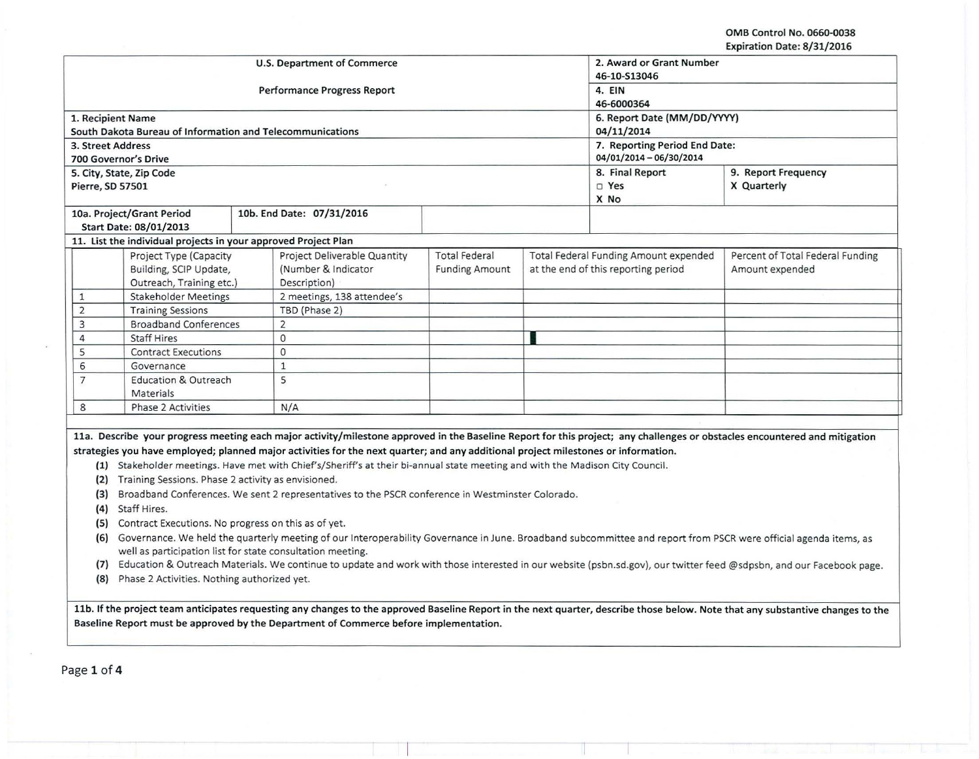OMB Control No. 0660-0038 Expiration Date: 8/31/2016

|                   |                                                                                                                                                                                                                        |  |                                                                                                                                    |                          |                                     |                                       | expiration pate: 8/31/2016                                                                                                                                                 |  |  |
|-------------------|------------------------------------------------------------------------------------------------------------------------------------------------------------------------------------------------------------------------|--|------------------------------------------------------------------------------------------------------------------------------------|--------------------------|-------------------------------------|---------------------------------------|----------------------------------------------------------------------------------------------------------------------------------------------------------------------------|--|--|
|                   |                                                                                                                                                                                                                        |  | U.S. Department of Commerce                                                                                                        | 2. Award or Grant Number |                                     |                                       |                                                                                                                                                                            |  |  |
|                   |                                                                                                                                                                                                                        |  |                                                                                                                                    | 46-10-S13046             |                                     |                                       |                                                                                                                                                                            |  |  |
|                   |                                                                                                                                                                                                                        |  | <b>Performance Progress Report</b>                                                                                                 | 4. EIN                   |                                     |                                       |                                                                                                                                                                            |  |  |
|                   |                                                                                                                                                                                                                        |  |                                                                                                                                    | 46-6000364               |                                     |                                       |                                                                                                                                                                            |  |  |
|                   | 1. Recipient Name                                                                                                                                                                                                      |  |                                                                                                                                    |                          |                                     | 6. Report Date (MM/DD/YYYY)           |                                                                                                                                                                            |  |  |
|                   | South Dakota Bureau of Information and Telecommunications                                                                                                                                                              |  |                                                                                                                                    |                          |                                     | 04/11/2014                            |                                                                                                                                                                            |  |  |
| 3. Street Address |                                                                                                                                                                                                                        |  |                                                                                                                                    |                          |                                     | 7. Reporting Period End Date:         |                                                                                                                                                                            |  |  |
|                   | <b>700 Governor's Drive</b>                                                                                                                                                                                            |  |                                                                                                                                    |                          |                                     | 04/01/2014 - 06/30/2014               |                                                                                                                                                                            |  |  |
|                   | 5. City, State, Zip Code                                                                                                                                                                                               |  |                                                                                                                                    |                          |                                     | 8. Final Report                       | 9. Report Frequency                                                                                                                                                        |  |  |
| Pierre, SD 57501  |                                                                                                                                                                                                                        |  |                                                                                                                                    |                          |                                     | $\square$ Yes                         | X Quarterly                                                                                                                                                                |  |  |
|                   |                                                                                                                                                                                                                        |  |                                                                                                                                    |                          |                                     | X No                                  |                                                                                                                                                                            |  |  |
|                   | 10a. Project/Grant Period                                                                                                                                                                                              |  | 10b. End Date: 07/31/2016                                                                                                          |                          |                                     |                                       |                                                                                                                                                                            |  |  |
|                   | Start Date: 08/01/2013                                                                                                                                                                                                 |  |                                                                                                                                    |                          |                                     |                                       |                                                                                                                                                                            |  |  |
|                   | 11. List the individual projects in your approved Project Plan                                                                                                                                                         |  |                                                                                                                                    |                          |                                     |                                       |                                                                                                                                                                            |  |  |
|                   | Project Type (Capacity                                                                                                                                                                                                 |  | Project Deliverable Quantity                                                                                                       | <b>Total Federal</b>     |                                     | Total Federal Funding Amount expended | Percent of Total Federal Funding                                                                                                                                           |  |  |
|                   | Building, SCIP Update,                                                                                                                                                                                                 |  | (Number & Indicator                                                                                                                | <b>Funding Amount</b>    | at the end of this reporting period |                                       | Amount expended                                                                                                                                                            |  |  |
|                   | Outreach, Training etc.)                                                                                                                                                                                               |  | Description)                                                                                                                       |                          |                                     |                                       |                                                                                                                                                                            |  |  |
| $\mathbf{1}$      | <b>Stakeholder Meetings</b>                                                                                                                                                                                            |  | 2 meetings, 138 attendee's                                                                                                         |                          |                                     |                                       |                                                                                                                                                                            |  |  |
| $\overline{2}$    | <b>Training Sessions</b>                                                                                                                                                                                               |  | TBD (Phase 2)                                                                                                                      |                          |                                     |                                       |                                                                                                                                                                            |  |  |
| 3                 | <b>Broadband Conferences</b>                                                                                                                                                                                           |  | $\overline{2}$                                                                                                                     |                          |                                     |                                       |                                                                                                                                                                            |  |  |
| 4                 | <b>Staff Hires</b>                                                                                                                                                                                                     |  | $\circ$                                                                                                                            |                          |                                     |                                       |                                                                                                                                                                            |  |  |
| 5                 | <b>Contract Executions</b>                                                                                                                                                                                             |  | $\circ$                                                                                                                            |                          |                                     |                                       |                                                                                                                                                                            |  |  |
| 6                 | Governance                                                                                                                                                                                                             |  | $\mathbf{1}$                                                                                                                       |                          |                                     |                                       |                                                                                                                                                                            |  |  |
| $\overline{7}$    | <b>Education &amp; Outreach</b>                                                                                                                                                                                        |  | 5                                                                                                                                  |                          |                                     |                                       |                                                                                                                                                                            |  |  |
|                   | Materials                                                                                                                                                                                                              |  |                                                                                                                                    |                          |                                     |                                       |                                                                                                                                                                            |  |  |
| 8                 | <b>Phase 2 Activities</b>                                                                                                                                                                                              |  | N/A                                                                                                                                |                          |                                     |                                       |                                                                                                                                                                            |  |  |
|                   |                                                                                                                                                                                                                        |  |                                                                                                                                    |                          |                                     |                                       |                                                                                                                                                                            |  |  |
|                   |                                                                                                                                                                                                                        |  |                                                                                                                                    |                          |                                     |                                       | 11a. Describe your progress meeting each major activity/milestone approved in the Baseline Report for this project; any challenges or obstacles encountered and mitigation |  |  |
|                   |                                                                                                                                                                                                                        |  | strategies you have employed; planned major activities for the next quarter; and any additional project milestones or information. |                          |                                     |                                       |                                                                                                                                                                            |  |  |
|                   |                                                                                                                                                                                                                        |  | (1) Stakeholder meetings. Have met with Chief's/Sheriff's at their bi-annual state meeting and with the Madison City Council.      |                          |                                     |                                       |                                                                                                                                                                            |  |  |
|                   | (2) Training Sessions. Phase 2 activity as envisioned.                                                                                                                                                                 |  |                                                                                                                                    |                          |                                     |                                       |                                                                                                                                                                            |  |  |
|                   | Broadband Conferences. We sent 2 representatives to the PSCR conference in Westminster Colorado.<br>(3)                                                                                                                |  |                                                                                                                                    |                          |                                     |                                       |                                                                                                                                                                            |  |  |
|                   | (4) Staff Hires.                                                                                                                                                                                                       |  |                                                                                                                                    |                          |                                     |                                       |                                                                                                                                                                            |  |  |
|                   | (5) Contract Executions. No progress on this as of yet.                                                                                                                                                                |  |                                                                                                                                    |                          |                                     |                                       |                                                                                                                                                                            |  |  |
|                   |                                                                                                                                                                                                                        |  |                                                                                                                                    |                          |                                     |                                       | (6) Governance. We held the quarterly meeting of our Interoperability Governance in June. Broadband subcommittee and report from PSCR were official agenda items, as       |  |  |
|                   | well as participation list for state consultation meeting.                                                                                                                                                             |  |                                                                                                                                    |                          |                                     |                                       |                                                                                                                                                                            |  |  |
| (7)               |                                                                                                                                                                                                                        |  |                                                                                                                                    |                          |                                     |                                       |                                                                                                                                                                            |  |  |
|                   | Education & Outreach Materials. We continue to update and work with those interested in our website (psbn.sd.gov), our twitter feed @sdpsbn, and our Facebook page.<br>(8) Phase 2 Activities. Nothing authorized yet. |  |                                                                                                                                    |                          |                                     |                                       |                                                                                                                                                                            |  |  |
|                   |                                                                                                                                                                                                                        |  |                                                                                                                                    |                          |                                     |                                       |                                                                                                                                                                            |  |  |

11b. If the project team anticipates requesting any changes to the approved Baseline Report in the next quarter, describe those below. Note that any substantive changes to the Baseline Report must be approved by the Department of Commerce before implementation.

Page 1 of 4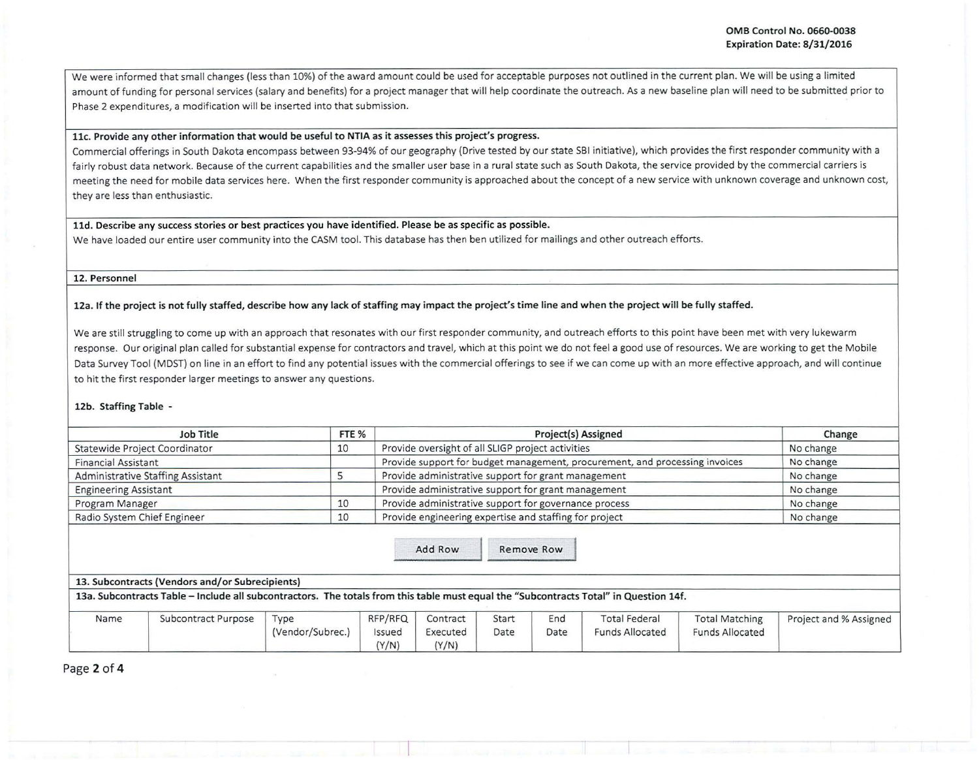i

We were informed that small changes (less than 10%) of the award amount could be used for acceptable purposes not outlined in the current plan. We will be using a limited amount of funding for personal services (salary and benefits) for a project manager that will help coordinate the outreach. As a new baseline plan will need to be submitted prior to Phase 2 expenditures, a modification will be inserted into that submission.

# llc. Provide any other information that would be useful to NTIA as it assesses this project's progress.

Commercial offerings in South Dakota encompass between 93-94% of our geography (Drive tested by our state SBI initiative), which provides the first responder community with a fairly robust data network. Because of the current capabilities and the smaller user base in a rural state such as South Dakota, the service provided by the commercial carriers is meeting the need for mobile data services here. When the first responder community is approached about the concept of a new service with unknown coverage and unknown cost, they are less than enthusiastic.

### 11d. Describe any success stories or best practices you have identified. Please be as specific as possible.

We have loaded our entire user community into the CASM tool. This database has then ben utilized for mailings and other outreach efforts.

### 12. Personnel

12a. If the project is not fully staffed, describe how any lack of staffing may impact the project's time line and when the project will be fully staffed.

We are still struggling to come up with an approach that resonates with our first responder community, and outreach efforts to this point have been met with very lukewarm response. Our original plan called for substantial expense for contractors and travel, which at this point we do not feel a good use of resources. We are working to get the Mobile Data Survey Tool (MDST) on line in an effort to find any potential issues with the commercial offerings to see if we can come up with an more effective approach, and will continue to hit the first responder larger meetings to answer any questions.

### 12b. Staffing Table -

| Job Title                         | FTE <sub>%</sub> | <b>Project(s) Assigned</b>                                                  | Change    |
|-----------------------------------|------------------|-----------------------------------------------------------------------------|-----------|
| Statewide Project Coordinator     | 10               | Provide oversight of all SLIGP project activities                           | No change |
| <b>Financial Assistant</b>        |                  | Provide support for budget management, procurement, and processing invoices | No change |
| Administrative Staffing Assistant |                  | Provide administrative support for grant management                         | No change |
| <b>Engineering Assistant</b>      |                  | Provide administrative support for grant management                         | No change |
| Program Manager                   | 10               | Provide administrative support for governance process                       | No change |
| Radio System Chief Engineer       | 10               | Provide engineering expertise and staffing for project                      | No change |

Add Row Remove Row

|  | 13. Subcontracts (Vendors and/or Subrecipients) |  |
|--|-------------------------------------------------|--|
|--|-------------------------------------------------|--|

13a. Subcontracts Table -Include all subcontractors. The totals from this table must equal the "Subcontracts Total" in Question 14f.

| Name | Subcontract Purpose | Type<br>(Vendor/Subrec.) | RFP/RFQ<br>ssued<br>(Y/N) | Contract<br>Executed<br>(Y/N) | Start<br>Date | End<br>Date | <b>Total Federal</b><br><b>Funds Allocated</b> | <b>Total Matching</b><br><b>Funds Allocated</b> | Project and % Assigned |
|------|---------------------|--------------------------|---------------------------|-------------------------------|---------------|-------------|------------------------------------------------|-------------------------------------------------|------------------------|
|------|---------------------|--------------------------|---------------------------|-------------------------------|---------------|-------------|------------------------------------------------|-------------------------------------------------|------------------------|

Page 2 of 4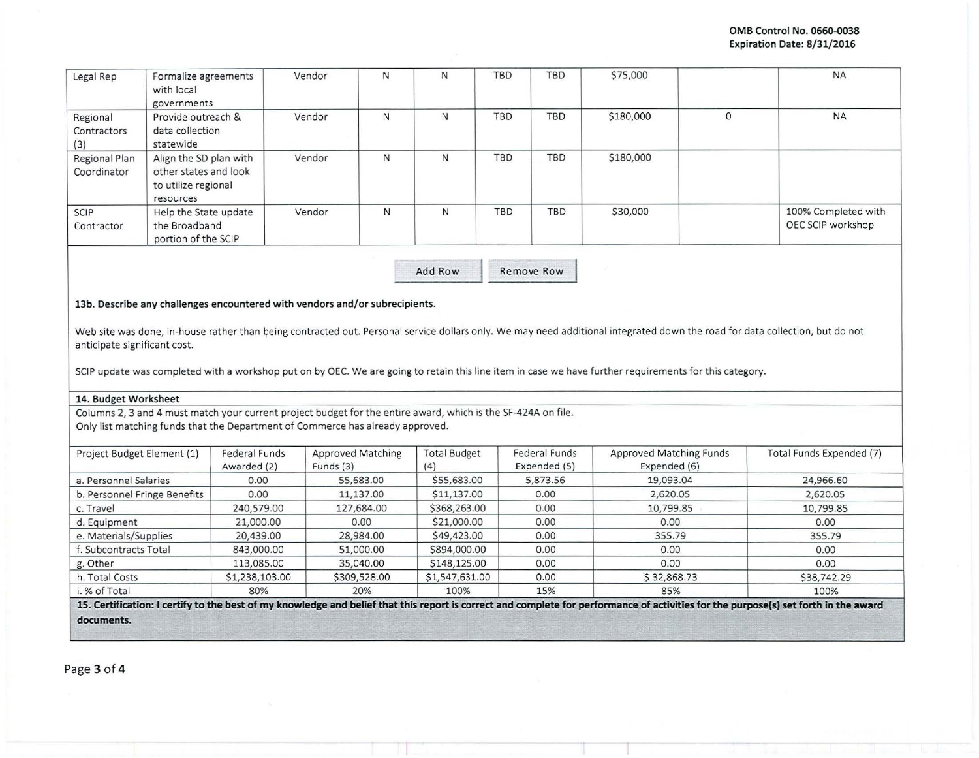| Legal Rep                      | Formalize agreements<br>with local<br>governments                                   | Vendor | N | N | <b>TBD</b> | <b>TBD</b> | \$75,000  |   | <b>NA</b>                                |
|--------------------------------|-------------------------------------------------------------------------------------|--------|---|---|------------|------------|-----------|---|------------------------------------------|
| Regional<br>Contractors<br>(3) | Provide outreach &<br>data collection<br>statewide                                  | Vendor | N | N | <b>TBD</b> | <b>TBD</b> | \$180,000 | 0 | <b>NA</b>                                |
| Regional Plan<br>Coordinator   | Align the SD plan with<br>other states and look<br>to utilize regional<br>resources | Vendor | N | N | <b>TBD</b> | <b>TBD</b> | \$180,000 |   |                                          |
| <b>SCIP</b><br>Contractor      | Help the State update<br>the Broadband<br>portion of the SCIP                       | Vendor | N | N | <b>TBD</b> | <b>TBD</b> | \$30,000  |   | 100% Completed with<br>OEC SCIP workshop |

Add Row Remove Row

## 13b. Describe any challenges encountered with vendors and/or subrecipients.

Web site was done, in-house rather than being contracted out. Personal service dollars only. We may need additional integrated down the road for data collection, but do not anticipate significant cost.

SCIP update was completed with a workshop put on by OEC. We are going to retain this line item in case we have further requirements for this category.

### 14. Budget Worksheet

Columns 2, 3 and 4 must match your current project budget for the entire award, which is the SF-424A on file. Only list matching funds that the Department of Commerce has already approved.

| Project Budget Element (1)   | Federal Funds<br>Awarded (2) | Approved Matching<br>Funds $(3)$ | <b>Total Budget</b><br>(4) | Federal Funds<br>Expended (5) | Approved Matching Funds<br>Expended (6)                                                                                                                                              | Total Funds Expended (7) |
|------------------------------|------------------------------|----------------------------------|----------------------------|-------------------------------|--------------------------------------------------------------------------------------------------------------------------------------------------------------------------------------|--------------------------|
| a. Personnel Salaries        | 0.00                         | 55,683.00                        | \$55,683.00                | 5,873.56                      | 19,093.04                                                                                                                                                                            | 24,966.60                |
| b. Personnel Fringe Benefits | 0.00                         | 11,137.00                        | \$11,137.00                | 0.00                          | 2,620.05                                                                                                                                                                             | 2,620.05                 |
| c. Travel                    | 240,579.00                   | 127,684.00                       | \$368,263.00               | 0.00                          | 10,799.85                                                                                                                                                                            | 10,799.85                |
| d. Equipment                 | 21,000.00                    | 0.00                             | \$21,000.00                | 0.00                          | 0.00                                                                                                                                                                                 | 0.00                     |
| e. Materials/Supplies        | 20,439.00                    | 28,984.00                        | \$49,423.00                | 0.00                          | 355.79                                                                                                                                                                               | 355.79                   |
| f. Subcontracts Total        | 843,000.00                   | 51,000.00                        | \$894,000.00               | 0.00                          | 0.00                                                                                                                                                                                 | 0.00                     |
| g. Other                     | 113,085.00                   | 35,040.00                        | \$148,125.00               | 0.00                          | 0.00                                                                                                                                                                                 | 0.00                     |
| h. Total Costs               | \$1,238,103.00               | \$309,528.00                     | \$1,547,631.00             | 0.00                          | \$32,868.73                                                                                                                                                                          | \$38,742.29              |
| i. % of Total                | 80%                          | 20%                              | 100%                       | 15%                           | 85%                                                                                                                                                                                  | 100%                     |
|                              |                              |                                  |                            |                               | 15. Certification: I certify to the best of my knowledge and belief that this report is correct and complete for performance of activities for the purpose(s) set forth in the award |                          |

- - - -

**documents.**